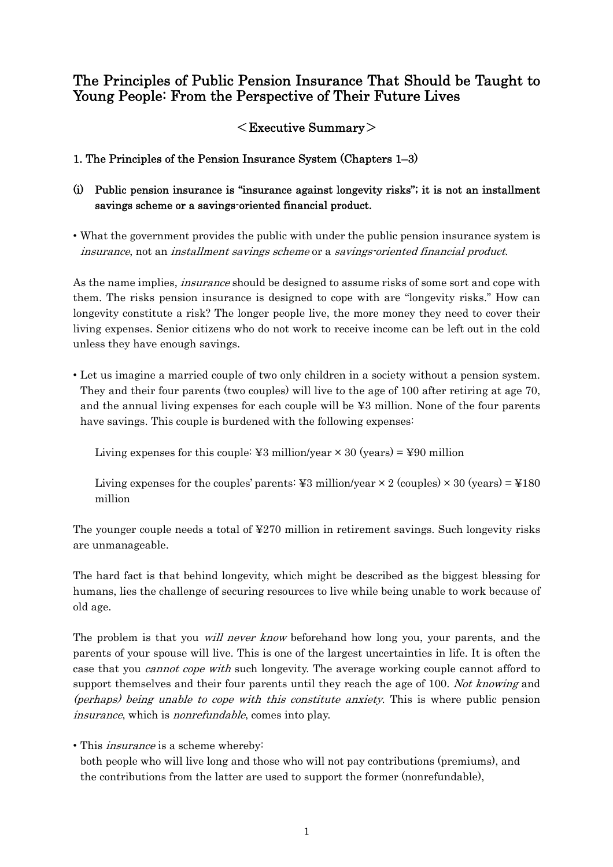# The Principles of Public Pension Insurance That Should be Taught to Young People: From the Perspective of Their Future Lives

# $<$ Executive Summary $>$

## 1. The Principles of the Pension Insurance System (Chapters 1–3)

# (i) Public pension insurance is "insurance against longevity risks"; it is not an installment savings scheme or a savings-oriented financial product.

• What the government provides the public with under the public pension insurance system is insurance, not an installment savings scheme or a savings-oriented financial product.

As the name implies, *insurance* should be designed to assume risks of some sort and cope with them. The risks pension insurance is designed to cope with are "longevity risks." How can longevity constitute a risk? The longer people live, the more money they need to cover their living expenses. Senior citizens who do not work to receive income can be left out in the cold unless they have enough savings.

• Let us imagine a married couple of two only children in a society without a pension system. They and their four parents (two couples) will live to the age of 100 after retiring at age 70, and the annual living expenses for each couple will be ¥3 million. None of the four parents have savings. This couple is burdened with the following expenses:

Living expenses for this couple:  $\yen 3$  million/year  $\times 30$  (years) =  $\yen 90$  million

Living expenses for the couples' parents: ¥3 million/year  $\times$  2 (couples)  $\times$  30 (years) = ¥180 million

The younger couple needs a total of ¥270 million in retirement savings. Such longevity risks are unmanageable.

The hard fact is that behind longevity, which might be described as the biggest blessing for humans, lies the challenge of securing resources to live while being unable to work because of old age.

The problem is that you *will never know* beforehand how long you, your parents, and the parents of your spouse will live. This is one of the largest uncertainties in life. It is often the case that you *cannot cope with* such longevity. The average working couple cannot afford to support themselves and their four parents until they reach the age of 100. Not knowing and (perhaps) being unable to cope with this constitute anxiety. This is where public pension insurance, which is nonrefundable, comes into play.

• This insurance is a scheme whereby:

both people who will live long and those who will not pay contributions (premiums), and the contributions from the latter are used to support the former (nonrefundable),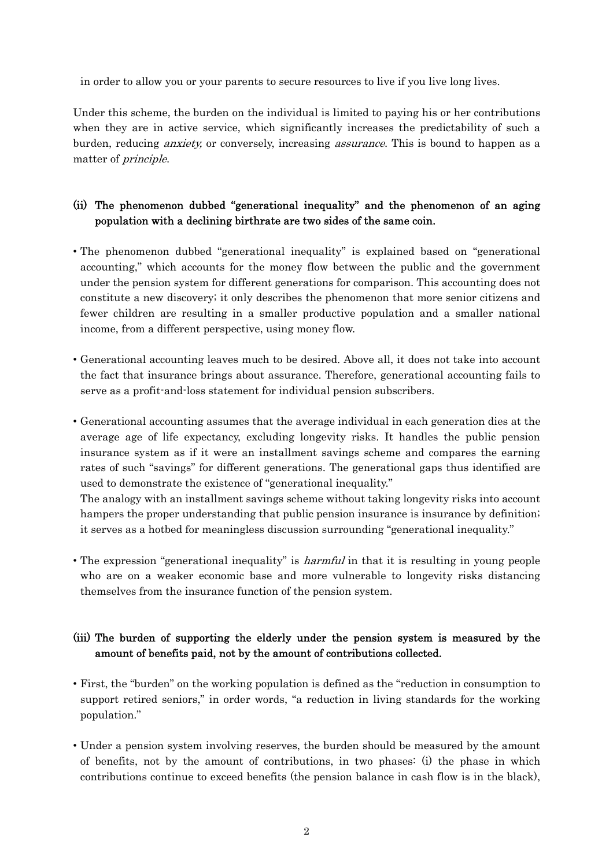in order to allow you or your parents to secure resources to live if you live long lives.

Under this scheme, the burden on the individual is limited to paying his or her contributions when they are in active service, which significantly increases the predictability of such a burden, reducing anxiety, or conversely, increasing assurance. This is bound to happen as a matter of principle.

## (ii) The phenomenon dubbed "generational inequality" and the phenomenon of an aging population with a declining birthrate are two sides of the same coin.

- The phenomenon dubbed "generational inequality" is explained based on "generational accounting," which accounts for the money flow between the public and the government under the pension system for different generations for comparison. This accounting does not constitute a new discovery; it only describes the phenomenon that more senior citizens and fewer children are resulting in a smaller productive population and a smaller national income, from a different perspective, using money flow.
- Generational accounting leaves much to be desired. Above all, it does not take into account the fact that insurance brings about assurance. Therefore, generational accounting fails to serve as a profit-and-loss statement for individual pension subscribers.
- Generational accounting assumes that the average individual in each generation dies at the average age of life expectancy, excluding longevity risks. It handles the public pension insurance system as if it were an installment savings scheme and compares the earning rates of such "savings" for different generations. The generational gaps thus identified are used to demonstrate the existence of "generational inequality."

 The analogy with an installment savings scheme without taking longevity risks into account hampers the proper understanding that public pension insurance is insurance by definition; it serves as a hotbed for meaningless discussion surrounding "generational inequality."

• The expression "generational inequality" is *harmful* in that it is resulting in young people who are on a weaker economic base and more vulnerable to longevity risks distancing themselves from the insurance function of the pension system.

#### (iii) The burden of supporting the elderly under the pension system is measured by the amount of benefits paid, not by the amount of contributions collected.

- First, the "burden" on the working population is defined as the "reduction in consumption to support retired seniors," in order words, "a reduction in living standards for the working population."
- Under a pension system involving reserves, the burden should be measured by the amount of benefits, not by the amount of contributions, in two phases: (i) the phase in which contributions continue to exceed benefits (the pension balance in cash flow is in the black),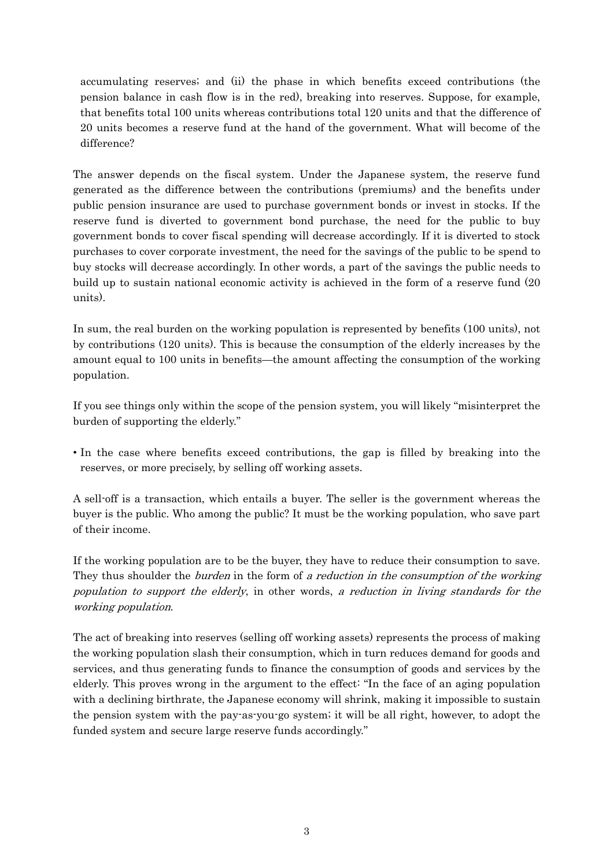accumulating reserves; and (ii) the phase in which benefits exceed contributions (the pension balance in cash flow is in the red), breaking into reserves. Suppose, for example, that benefits total 100 units whereas contributions total 120 units and that the difference of 20 units becomes a reserve fund at the hand of the government. What will become of the difference?

The answer depends on the fiscal system. Under the Japanese system, the reserve fund generated as the difference between the contributions (premiums) and the benefits under public pension insurance are used to purchase government bonds or invest in stocks. If the reserve fund is diverted to government bond purchase, the need for the public to buy government bonds to cover fiscal spending will decrease accordingly. If it is diverted to stock purchases to cover corporate investment, the need for the savings of the public to be spend to buy stocks will decrease accordingly. In other words, a part of the savings the public needs to build up to sustain national economic activity is achieved in the form of a reserve fund (20 units).

In sum, the real burden on the working population is represented by benefits (100 units), not by contributions (120 units). This is because the consumption of the elderly increases by the amount equal to 100 units in benefits—the amount affecting the consumption of the working population.

If you see things only within the scope of the pension system, you will likely "misinterpret the burden of supporting the elderly."

• In the case where benefits exceed contributions, the gap is filled by breaking into the reserves, or more precisely, by selling off working assets.

A sell-off is a transaction, which entails a buyer. The seller is the government whereas the buyer is the public. Who among the public? It must be the working population, who save part of their income.

If the working population are to be the buyer, they have to reduce their consumption to save. They thus shoulder the *burden* in the form of a reduction in the consumption of the working population to support the elderly, in other words, a reduction in living standards for the working population.

The act of breaking into reserves (selling off working assets) represents the process of making the working population slash their consumption, which in turn reduces demand for goods and services, and thus generating funds to finance the consumption of goods and services by the elderly. This proves wrong in the argument to the effect: "In the face of an aging population with a declining birthrate, the Japanese economy will shrink, making it impossible to sustain the pension system with the pay-as-you-go system; it will be all right, however, to adopt the funded system and secure large reserve funds accordingly."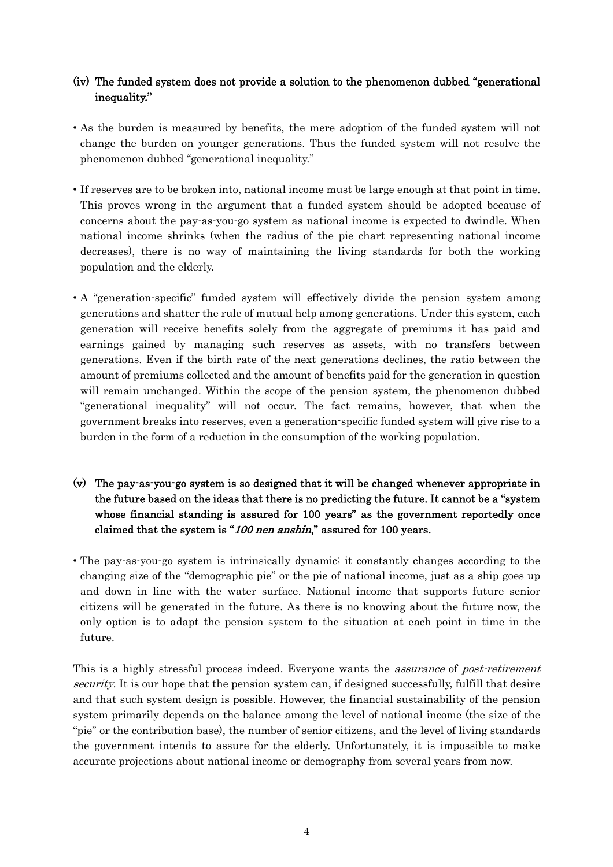#### (iv) The funded system does not provide a solution to the phenomenon dubbed "generational inequality."

- As the burden is measured by benefits, the mere adoption of the funded system will not change the burden on younger generations. Thus the funded system will not resolve the phenomenon dubbed "generational inequality."
- If reserves are to be broken into, national income must be large enough at that point in time. This proves wrong in the argument that a funded system should be adopted because of concerns about the pay-as-you-go system as national income is expected to dwindle. When national income shrinks (when the radius of the pie chart representing national income decreases), there is no way of maintaining the living standards for both the working population and the elderly.
- A "generation-specific" funded system will effectively divide the pension system among generations and shatter the rule of mutual help among generations. Under this system, each generation will receive benefits solely from the aggregate of premiums it has paid and earnings gained by managing such reserves as assets, with no transfers between generations. Even if the birth rate of the next generations declines, the ratio between the amount of premiums collected and the amount of benefits paid for the generation in question will remain unchanged. Within the scope of the pension system, the phenomenon dubbed "generational inequality" will not occur. The fact remains, however, that when the government breaks into reserves, even a generation-specific funded system will give rise to a burden in the form of a reduction in the consumption of the working population.
- (v) The pay-as-you-go system is so designed that it will be changed whenever appropriate in the future based on the ideas that there is no predicting the future. It cannot be a "system whose financial standing is assured for 100 years" as the government reportedly once claimed that the system is "100 nen anshin," assured for 100 years.
- The pay-as-you-go system is intrinsically dynamic; it constantly changes according to the changing size of the "demographic pie" or the pie of national income, just as a ship goes up and down in line with the water surface. National income that supports future senior citizens will be generated in the future. As there is no knowing about the future now, the only option is to adapt the pension system to the situation at each point in time in the future.

This is a highly stressful process indeed. Everyone wants the *assurance* of *post-retirement* security. It is our hope that the pension system can, if designed successfully, fulfill that desire and that such system design is possible. However, the financial sustainability of the pension system primarily depends on the balance among the level of national income (the size of the "pie" or the contribution base), the number of senior citizens, and the level of living standards the government intends to assure for the elderly. Unfortunately, it is impossible to make accurate projections about national income or demography from several years from now.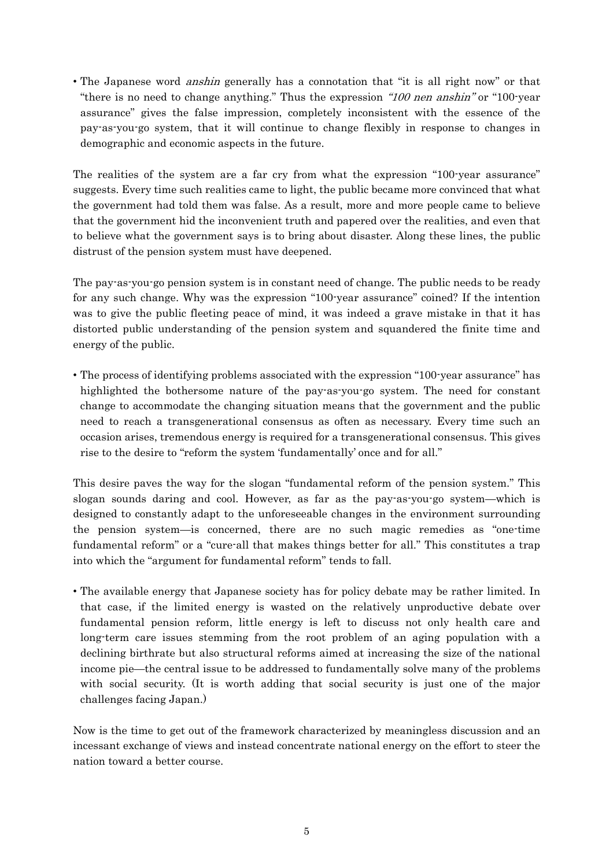• The Japanese word *anshin* generally has a connotation that "it is all right now" or that "there is no need to change anything." Thus the expression "100 nen anshin" or "100 year assurance" gives the false impression, completely inconsistent with the essence of the pay-as-you-go system, that it will continue to change flexibly in response to changes in demographic and economic aspects in the future.

The realities of the system are a far cry from what the expression "100-year assurance" suggests. Every time such realities came to light, the public became more convinced that what the government had told them was false. As a result, more and more people came to believe that the government hid the inconvenient truth and papered over the realities, and even that to believe what the government says is to bring about disaster. Along these lines, the public distrust of the pension system must have deepened.

The pay-as-you-go pension system is in constant need of change. The public needs to be ready for any such change. Why was the expression "100-year assurance" coined? If the intention was to give the public fleeting peace of mind, it was indeed a grave mistake in that it has distorted public understanding of the pension system and squandered the finite time and energy of the public.

• The process of identifying problems associated with the expression "100-year assurance" has highlighted the bothersome nature of the pay-as-you-go system. The need for constant change to accommodate the changing situation means that the government and the public need to reach a transgenerational consensus as often as necessary. Every time such an occasion arises, tremendous energy is required for a transgenerational consensus. This gives rise to the desire to "reform the system 'fundamentally' once and for all."

This desire paves the way for the slogan "fundamental reform of the pension system." This slogan sounds daring and cool. However, as far as the pay-as-you-go system—which is designed to constantly adapt to the unforeseeable changes in the environment surrounding the pension system—is concerned, there are no such magic remedies as "one-time fundamental reform" or a "cure-all that makes things better for all." This constitutes a trap into which the "argument for fundamental reform" tends to fall.

• The available energy that Japanese society has for policy debate may be rather limited. In that case, if the limited energy is wasted on the relatively unproductive debate over fundamental pension reform, little energy is left to discuss not only health care and long-term care issues stemming from the root problem of an aging population with a declining birthrate but also structural reforms aimed at increasing the size of the national income pie—the central issue to be addressed to fundamentally solve many of the problems with social security. (It is worth adding that social security is just one of the major challenges facing Japan.)

Now is the time to get out of the framework characterized by meaningless discussion and an incessant exchange of views and instead concentrate national energy on the effort to steer the nation toward a better course.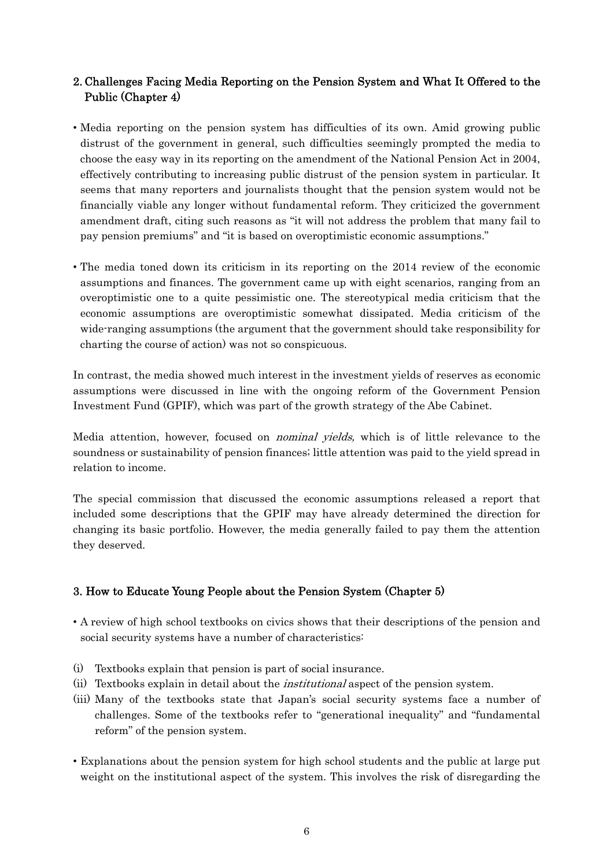## 2. Challenges Facing Media Reporting on the Pension System and What It Offered to the Public (Chapter 4)

- Media reporting on the pension system has difficulties of its own. Amid growing public distrust of the government in general, such difficulties seemingly prompted the media to choose the easy way in its reporting on the amendment of the National Pension Act in 2004, effectively contributing to increasing public distrust of the pension system in particular. It seems that many reporters and journalists thought that the pension system would not be financially viable any longer without fundamental reform. They criticized the government amendment draft, citing such reasons as "it will not address the problem that many fail to pay pension premiums" and "it is based on overoptimistic economic assumptions."
- The media toned down its criticism in its reporting on the 2014 review of the economic assumptions and finances. The government came up with eight scenarios, ranging from an overoptimistic one to a quite pessimistic one. The stereotypical media criticism that the economic assumptions are overoptimistic somewhat dissipated. Media criticism of the wide-ranging assumptions (the argument that the government should take responsibility for charting the course of action) was not so conspicuous.

In contrast, the media showed much interest in the investment yields of reserves as economic assumptions were discussed in line with the ongoing reform of the Government Pension Investment Fund (GPIF), which was part of the growth strategy of the Abe Cabinet.

Media attention, however, focused on *nominal yields*, which is of little relevance to the soundness or sustainability of pension finances; little attention was paid to the yield spread in relation to income.

The special commission that discussed the economic assumptions released a report that included some descriptions that the GPIF may have already determined the direction for changing its basic portfolio. However, the media generally failed to pay them the attention they deserved.

#### 3. How to Educate Young People about the Pension System (Chapter 5)

- A review of high school textbooks on civics shows that their descriptions of the pension and social security systems have a number of characteristics:
- (i) Textbooks explain that pension is part of social insurance.
- (ii) Textbooks explain in detail about the institutional aspect of the pension system.
- (iii) Many of the textbooks state that Japan's social security systems face a number of challenges. Some of the textbooks refer to "generational inequality" and "fundamental reform" of the pension system.
- Explanations about the pension system for high school students and the public at large put weight on the institutional aspect of the system. This involves the risk of disregarding the